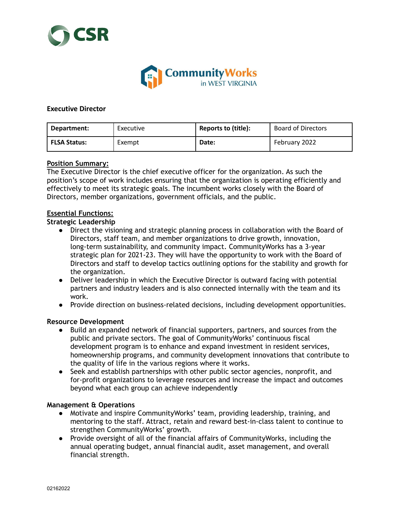



## **Executive Director**

| Department:  | Executive | Reports to (title): | <b>Board of Directors</b> |
|--------------|-----------|---------------------|---------------------------|
| FLSA Status: | Exempt    | Date:               | February 2022             |

## **Position Summary:**

The Executive Director is the chief executive officer for the organization. As such the position's scope of work includes ensuring that the organization is operating efficiently and effectively to meet its strategic goals. The incumbent works closely with the Board of Directors, member organizations, government officials, and the public.

## **Essential Functions:**

## **Strategic Leadership**

- Direct the visioning and strategic planning process in collaboration with the Board of Directors, staff team, and member organizations to drive growth, innovation, long-term sustainability, and community impact. CommunityWorks has a 3-year strategic plan for 2021-23. They will have the opportunity to work with the Board of Directors and staff to develop tactics outlining options for the stability and growth for the organization.
- Deliver leadership in which the Executive Director is outward facing with potential partners and industry leaders and is also connected internally with the team and its work.
- Provide direction on business-related decisions, including development opportunities.

# **Resource Development**

- Build an expanded network of financial supporters, partners, and sources from the public and private sectors. The goal of CommunityWorks' continuous fiscal development program is to enhance and expand investment in resident services, homeownership programs, and community development innovations that contribute to the quality of life in the various regions where it works.
- Seek and establish partnerships with other public sector agencies, nonprofit, and for-profit organizations to leverage resources and increase the impact and outcomes beyond what each group can achieve independentl**y**

## **Management & Operations**

- Motivate and inspire CommunityWorks' team, providing leadership, training, and mentoring to the staff. Attract, retain and reward best-in-class talent to continue to strengthen CommunityWorks' growth.
- Provide oversight of all of the financial affairs of CommunityWorks, including the annual operating budget, annual financial audit, asset management, and overall financial strength.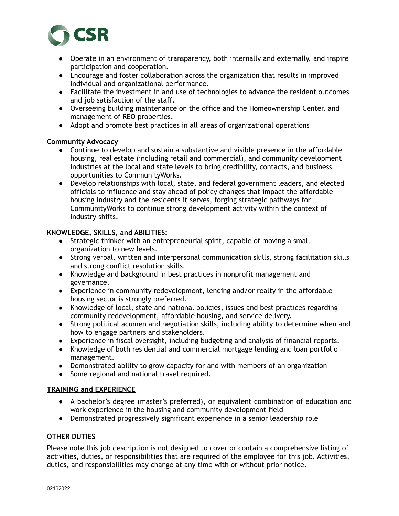

- Operate in an environment of transparency, both internally and externally, and inspire participation and cooperation.
- Encourage and foster collaboration across the organization that results in improved individual and organizational performance.
- Facilitate the investment in and use of technologies to advance the resident outcomes and job satisfaction of the staff.
- Overseeing building maintenance on the office and the Homeownership Center, and management of REO properties.
- Adopt and promote best practices in all areas of organizational operations

# **Community Advocacy**

- Continue to develop and sustain a substantive and visible presence in the affordable housing, real estate (including retail and commercial), and community development industries at the local and state levels to bring credibility, contacts, and business opportunities to CommunityWorks.
- Develop relationships with local, state, and federal government leaders, and elected officials to influence and stay ahead of policy changes that impact the affordable housing industry and the residents it serves, forging strategic pathways for CommunityWorks to continue strong development activity within the context of industry shifts.

# **KNOWLEDGE, SKILLS, and ABILITIES:**

- Strategic thinker with an entrepreneurial spirit, capable of moving a small organization to new levels.
- Strong verbal, written and interpersonal communication skills, strong facilitation skills and strong conflict resolution skills.
- Knowledge and background in best practices in nonprofit management and governance.
- Experience in community redevelopment, lending and/or realty in the affordable housing sector is strongly preferred.
- Knowledge of local, state and national policies, issues and best practices regarding community redevelopment, affordable housing, and service delivery.
- Strong political acumen and negotiation skills, including ability to determine when and how to engage partners and stakeholders.
- Experience in fiscal oversight, including budgeting and analysis of financial reports.
- Knowledge of both residential and commercial mortgage lending and loan portfolio management.
- Demonstrated ability to grow capacity for and with members of an organization
- Some regional and national travel required.

# **TRAINING and EXPERIENCE**

- A bachelor's degree (master's preferred), or equivalent combination of education and work experience in the housing and community development field
- Demonstrated progressively significant experience in a senior leadership role

# **OTHER DUTIES**

Please note this job description is not designed to cover or contain a comprehensive listing of activities, duties, or responsibilities that are required of the employee for this job. Activities, duties, and responsibilities may change at any time with or without prior notice.